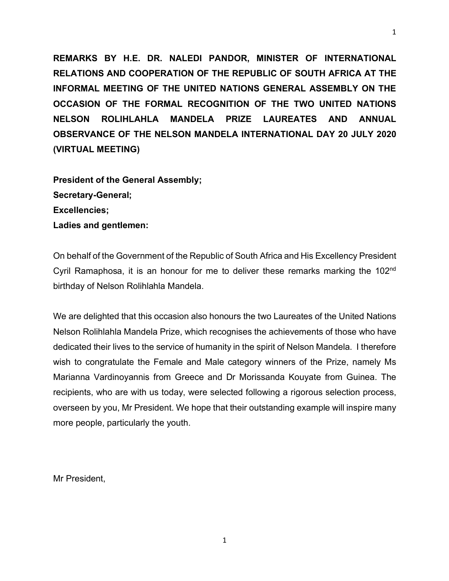**REMARKS BY H.E. DR. NALEDI PANDOR, MINISTER OF INTERNATIONAL RELATIONS AND COOPERATION OF THE REPUBLIC OF SOUTH AFRICA AT THE INFORMAL MEETING OF THE UNITED NATIONS GENERAL ASSEMBLY ON THE OCCASION OF THE FORMAL RECOGNITION OF THE TWO UNITED NATIONS NELSON ROLIHLAHLA MANDELA PRIZE LAUREATES AND ANNUAL OBSERVANCE OF THE NELSON MANDELA INTERNATIONAL DAY 20 JULY 2020 (VIRTUAL MEETING)**

**President of the General Assembly; Secretary-General; Excellencies; Ladies and gentlemen:**

On behalf of the Government of the Republic of South Africa and His Excellency President Cyril Ramaphosa, it is an honour for me to deliver these remarks marking the 102<sup>nd</sup> birthday of Nelson Rolihlahla Mandela.

We are delighted that this occasion also honours the two Laureates of the United Nations Nelson Rolihlahla Mandela Prize, which recognises the achievements of those who have dedicated their lives to the service of humanity in the spirit of Nelson Mandela. I therefore wish to congratulate the Female and Male category winners of the Prize, namely Ms Marianna Vardinoyannis from Greece and Dr Morissanda Kouyate from Guinea. The recipients, who are with us today, were selected following a rigorous selection process, overseen by you, Mr President. We hope that their outstanding example will inspire many more people, particularly the youth.

Mr President,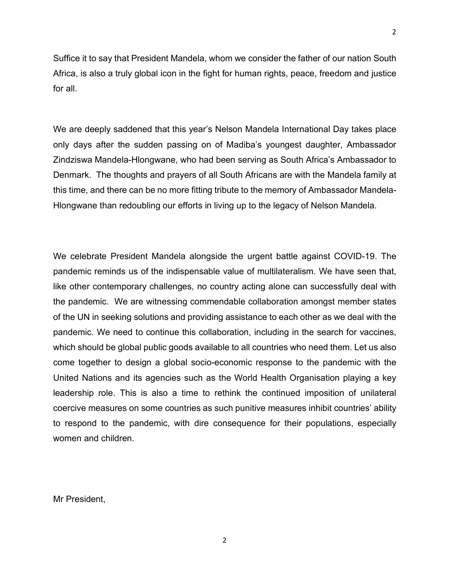Suffice it to say that President Mandela, whom we consider the father of our nation South Africa, is also a truly global icon in the fight for human rights, peace, freedom and justice for all.

We are deeply saddened that this year's Nelson Mandela International Day takes place only days after the sudden passing on of Madiba's youngest daughter, Ambassador Zindziswa Mandela-Hlongwane, who had been serving as South Africa's Ambassador to Denmark. The thoughts and prayers of all South Africans are with the Mandela family at this time, and there can be no more fitting tribute to the memory of Ambassador Mandela-Hlongwane than redoubling our efforts in living up to the legacy of Nelson Mandela.

We celebrate President Mandela alongside the urgent battle against COVID-19. The pandemic reminds us of the indispensable value of multilateralism. We have seen that, like other contemporary challenges, no country acting alone can successfully deal with the pandemic. We are witnessing commendable collaboration amongst member states of the UN in seeking solutions and providing assistance to each other as we deal with the pandemic. We need to continue this collaboration, including in the search for vaccines, which should be global public goods available to all countries who need them. Let us also come together to design a global socio-economic response to the pandemic with the United Nations and its agencies such as the World Health Organisation playing a key leadership role. This is also a time to rethink the continued imposition of unilateral coercive measures on some countries as such punitive measures inhibit countries' ability to respond to the pandemic, with dire consequence for their populations, especially women and children.

Mr President,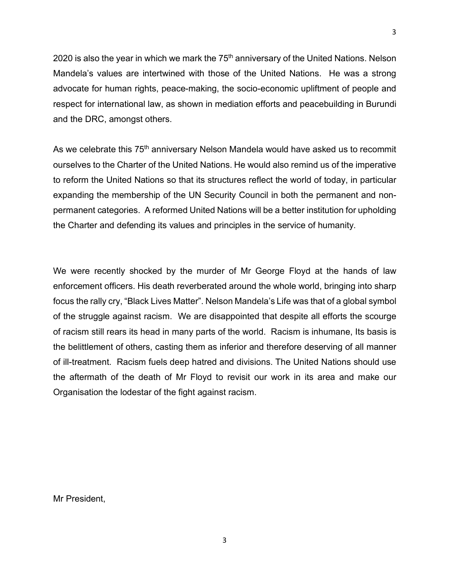2020 is also the year in which we mark the  $75<sup>th</sup>$  anniversary of the United Nations. Nelson Mandela's values are intertwined with those of the United Nations. He was a strong advocate for human rights, peace-making, the socio-economic upliftment of people and respect for international law, as shown in mediation efforts and peacebuilding in Burundi and the DRC, amongst others.

As we celebrate this 75<sup>th</sup> anniversary Nelson Mandela would have asked us to recommit ourselves to the Charter of the United Nations. He would also remind us of the imperative to reform the United Nations so that its structures reflect the world of today, in particular expanding the membership of the UN Security Council in both the permanent and nonpermanent categories. A reformed United Nations will be a better institution for upholding the Charter and defending its values and principles in the service of humanity.

We were recently shocked by the murder of Mr George Floyd at the hands of law enforcement officers. His death reverberated around the whole world, bringing into sharp focus the rally cry, "Black Lives Matter". Nelson Mandela's Life was that of a global symbol of the struggle against racism. We are disappointed that despite all efforts the scourge of racism still rears its head in many parts of the world. Racism is inhumane, Its basis is the belittlement of others, casting them as inferior and therefore deserving of all manner of ill-treatment. Racism fuels deep hatred and divisions. The United Nations should use the aftermath of the death of Mr Floyd to revisit our work in its area and make our Organisation the lodestar of the fight against racism.

Mr President,